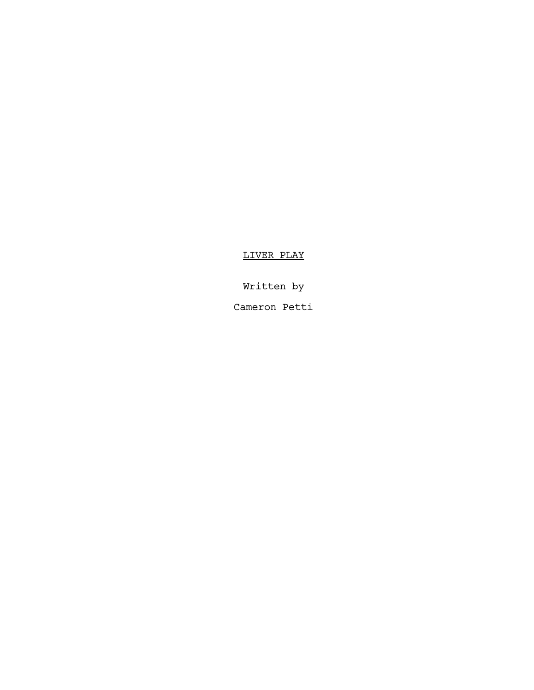LIVER PLAY

Written by

Cameron Petti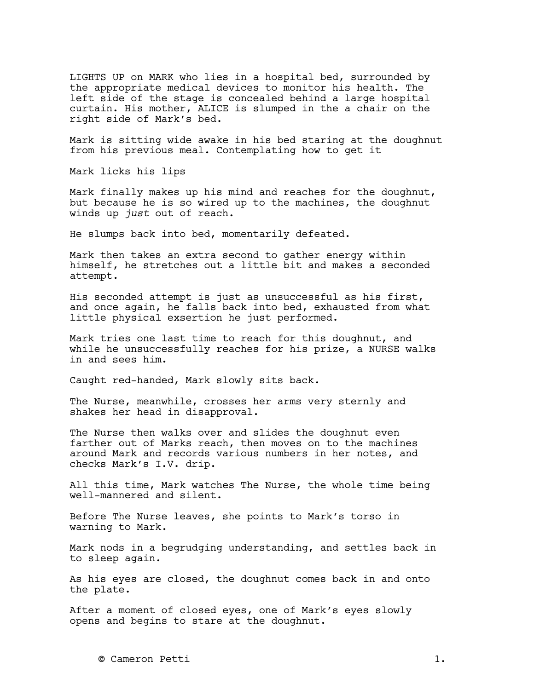LIGHTS UP on MARK who lies in a hospital bed, surrounded by the appropriate medical devices to monitor his health. The left side of the stage is concealed behind a large hospital curtain. His mother, ALICE is slumped in the a chair on the right side of Mark's bed.

Mark is sitting wide awake in his bed staring at the doughnut from his previous meal. Contemplating how to get it

Mark licks his lips

Mark finally makes up his mind and reaches for the doughnut, but because he is so wired up to the machines, the doughnut winds up *just* out of reach.

He slumps back into bed, momentarily defeated.

Mark then takes an extra second to gather energy within himself, he stretches out a little bit and makes a seconded attempt.

His seconded attempt is just as unsuccessful as his first, and once again, he falls back into bed, exhausted from what little physical exsertion he just performed.

Mark tries one last time to reach for this doughnut, and while he unsuccessfully reaches for his prize, a NURSE walks in and sees him.

Caught red-handed, Mark slowly sits back.

The Nurse, meanwhile, crosses her arms very sternly and shakes her head in disapproval.

The Nurse then walks over and slides the doughnut even farther out of Marks reach, then moves on to the machines around Mark and records various numbers in her notes, and checks Mark's I.V. drip.

All this time, Mark watches The Nurse, the whole time being well-mannered and silent.

Before The Nurse leaves, she points to Mark's torso in warning to Mark.

Mark nods in a begrudging understanding, and settles back in to sleep again.

As his eyes are closed, the doughnut comes back in and onto the plate.

After a moment of closed eyes, one of Mark's eyes slowly opens and begins to stare at the doughnut.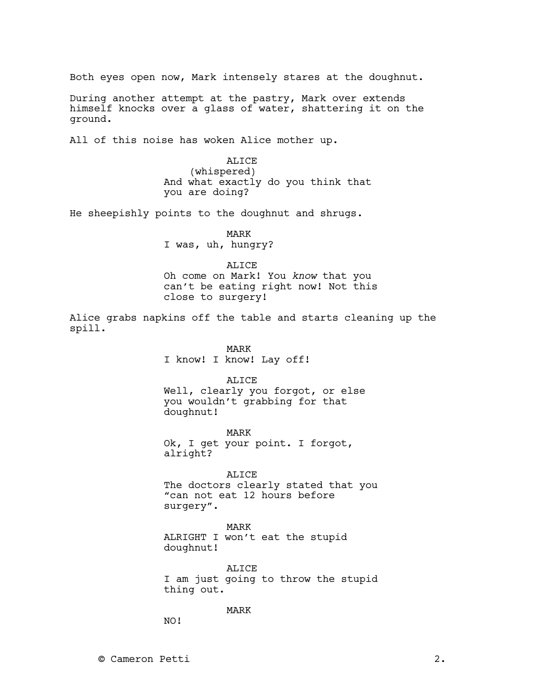Both eyes open now, Mark intensely stares at the doughnut.

During another attempt at the pastry, Mark over extends himself knocks over a glass of water, shattering it on the ground.

All of this noise has woken Alice mother up.

ALICE (whispered) And what exactly do you think that you are doing?

He sheepishly points to the doughnut and shrugs.

MARK I was, uh, hungry?

**ALICE** 

Oh come on Mark! You *know* that you can't be eating right now! Not this close to surgery!

Alice grabs napkins off the table and starts cleaning up the spill.

> MARK I know! I know! Lay off!

> > **ALICE**

Well, clearly you forgot, or else you wouldn't grabbing for that doughnut!

MARK Ok, I get your point. I forgot, alright?

ALICE The doctors clearly stated that you "can not eat 12 hours before surgery".

MARK ALRIGHT I won't eat the stupid doughnut!

ALICE I am just going to throw the stupid thing out.

MARK

NO!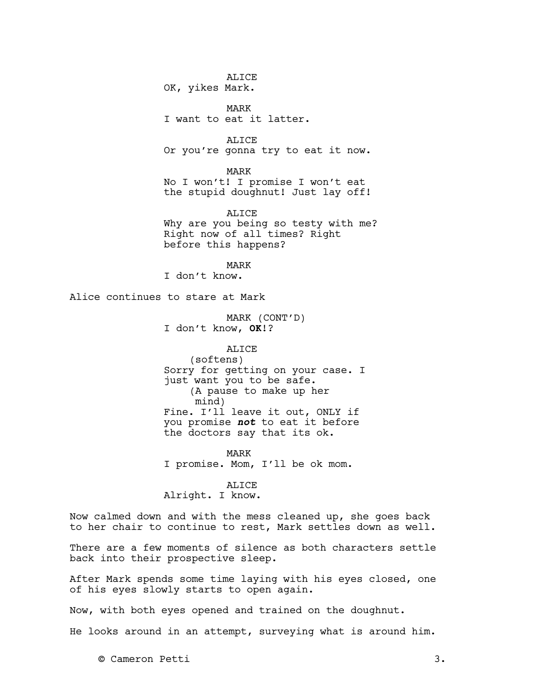ALICE OK, yikes Mark.

MARK I want to eat it latter.

ALICE

Or you're gonna try to eat it now.

MARK

No I won't! I promise I won't eat the stupid doughnut! Just lay off!

ALICE Why are you being so testy with me? Right now of all times? Right before this happens?

MARK I don't know.

Alice continues to stare at Mark

MARK (CONT'D) I don't know, **OK**!?

ALICE (softens) Sorry for getting on your case. I just want you to be safe. (A pause to make up her mind) Fine. I'll leave it out, ONLY if you promise **not** to eat it before the doctors say that its ok.

MARK I promise. Mom, I'll be ok mom.

ALICE

Alright. I know.

Now calmed down and with the mess cleaned up, she goes back to her chair to continue to rest, Mark settles down as well.

There are a few moments of silence as both characters settle back into their prospective sleep.

After Mark spends some time laying with his eyes closed, one of his eyes slowly starts to open again.

Now, with both eyes opened and trained on the doughnut.

He looks around in an attempt, surveying what is around him.

© Cameron Petti 3.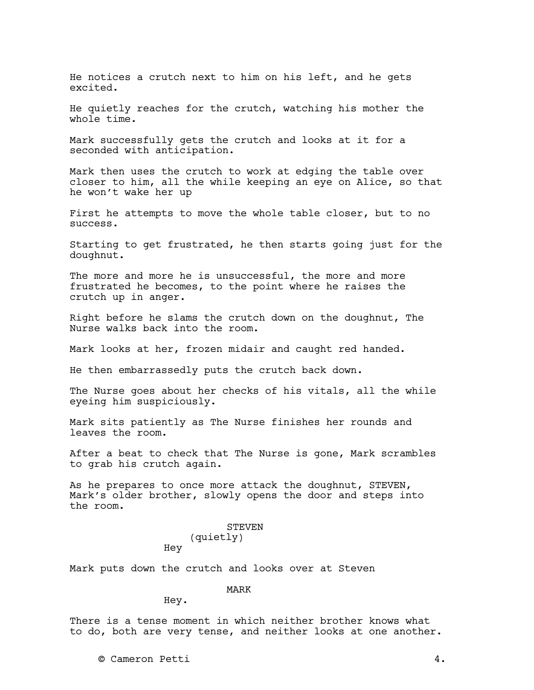He notices a crutch next to him on his left, and he gets excited.

He quietly reaches for the crutch, watching his mother the whole time.

Mark successfully gets the crutch and looks at it for a seconded with anticipation.

Mark then uses the crutch to work at edging the table over closer to him, all the while keeping an eye on Alice, so that he won't wake her up

First he attempts to move the whole table closer, but to no success.

Starting to get frustrated, he then starts going just for the doughnut.

The more and more he is unsuccessful, the more and more frustrated he becomes, to the point where he raises the crutch up in anger.

Right before he slams the crutch down on the doughnut, The Nurse walks back into the room.

Mark looks at her, frozen midair and caught red handed.

He then embarrassedly puts the crutch back down.

The Nurse goes about her checks of his vitals, all the while eyeing him suspiciously.

Mark sits patiently as The Nurse finishes her rounds and leaves the room.

After a beat to check that The Nurse is gone, Mark scrambles to grab his crutch again.

As he prepares to once more attack the doughnut, STEVEN, Mark's older brother, slowly opens the door and steps into the room.

# STEVEN (quietly)

Mark puts down the crutch and looks over at Steven

MARK

Hey.

Hey

There is a tense moment in which neither brother knows what to do, both are very tense, and neither looks at one another.

© Cameron Petti 4.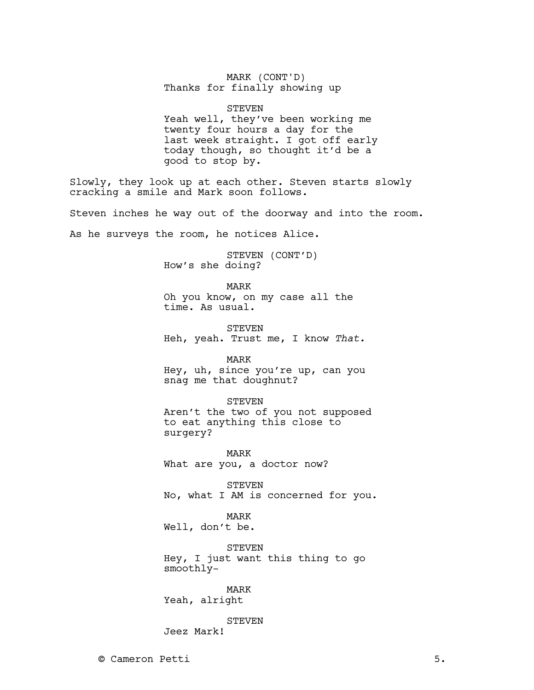## MARK (CONT'D) Thanks for finally showing up

#### STEVEN

Yeah well, they've been working me twenty four hours a day for the last week straight. I got off early today though, so thought it'd be a good to stop by.

Slowly, they look up at each other. Steven starts slowly cracking a smile and Mark soon follows.

Steven inches he way out of the doorway and into the room.

As he surveys the room, he notices Alice.

STEVEN (CONT'D) How's she doing?

MARK

Oh you know, on my case all the time. As usual.

STEVEN Heh, yeah. Trust me, I know *That.*

MARK

Hey, uh, since you're up, can you snag me that doughnut?

#### STEVEN

Aren't the two of you not supposed to eat anything this close to surgery?

MARK What are you, a doctor now?

STEVEN No, what I AM is concerned for you.

MARK

Well, don't be.

STEVEN Hey, I just want this thing to go smoothly-

MARK Yeah, alright

STEVEN

Jeez Mark!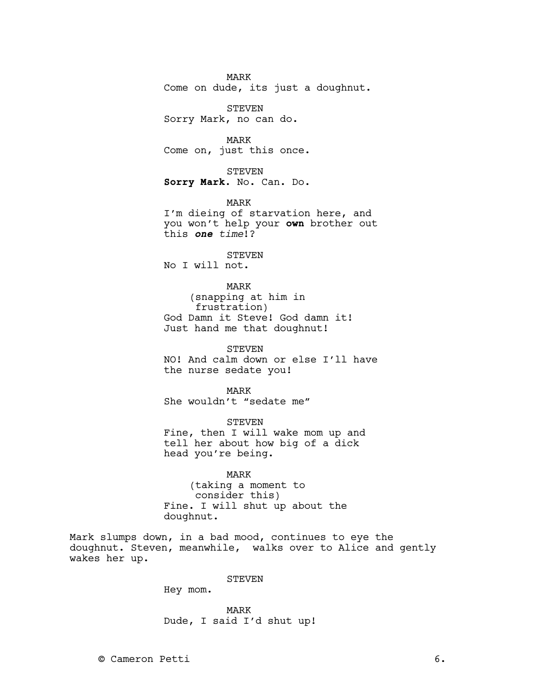MARK Come on dude, its just a doughnut.

STEVEN Sorry Mark, no can do.

MARK Come on, just this once.

STEVEN **Sorry Mark**. No. Can. Do.

MARK I'm dieing of starvation here, and you won't help your **own** brother out this **one** *time*!?

STEVEN No I will not.

MARK (snapping at him in frustration) God Damn it Steve! God damn it! Just hand me that doughnut!

STEVEN NO! And calm down or else I'll have the nurse sedate you!

MARK She wouldn't "sedate me"

STEVEN Fine, then I will wake mom up and tell her about how big of a dick head you're being.

## MARK

(taking a moment to consider this) Fine. I will shut up about the doughnut.

Mark slumps down, in a bad mood, continues to eye the doughnut. Steven, meanwhile, walks over to Alice and gently wakes her up.

## STEVEN

Hey mom.

MARK Dude, I said I'd shut up!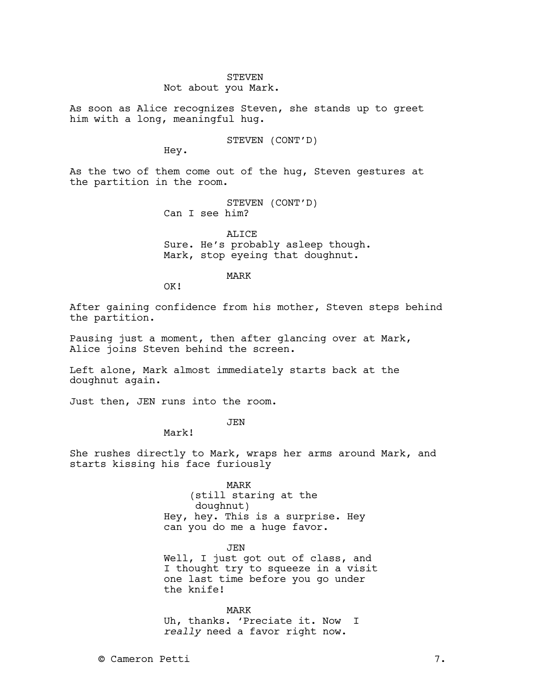#### STEVEN Not about you Mark.

As soon as Alice recognizes Steven, she stands up to greet him with a long, meaningful hug.

STEVEN (CONT'D)

Hey.

As the two of them come out of the hug, Steven gestures at the partition in the room.

> STEVEN (CONT'D) Can I see him?

ALICE Sure. He's probably asleep though. Mark, stop eyeing that doughnut.

MARK

OK!

After gaining confidence from his mother, Steven steps behind the partition.

Pausing just a moment, then after glancing over at Mark, Alice joins Steven behind the screen.

Left alone, Mark almost immediately starts back at the doughnut again.

Just then, JEN runs into the room.

JEN

Mark!

She rushes directly to Mark, wraps her arms around Mark, and starts kissing his face furiously

> MARK (still staring at the doughnut) Hey, hey. This is a surprise. Hey can you do me a huge favor.

> > JEN

Well, I just got out of class, and I thought try to squeeze in a visit one last time before you go under the knife!

MARK Uh, thanks. 'Preciate it. Now I *really* need a favor right now.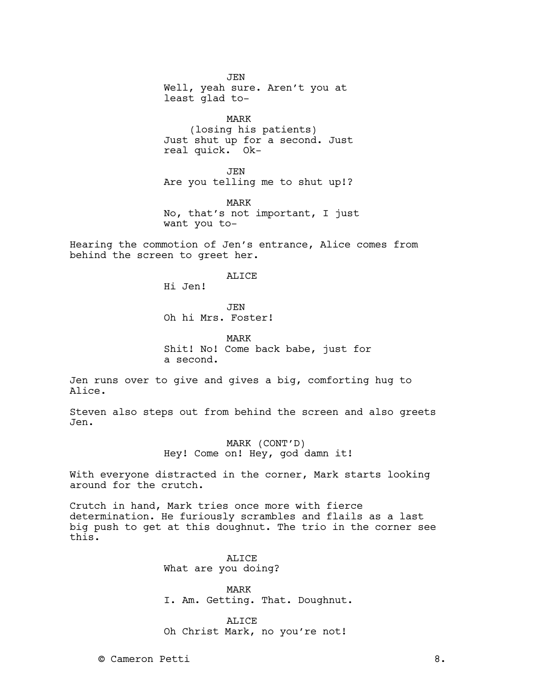JEN Well, yeah sure. Aren't you at least glad to-

MARK (losing his patients) Just shut up for a second. Just real quick. Ok-

JEN Are you telling me to shut up!?

MARK No, that's not important, I just want you to-

Hearing the commotion of Jen's entrance, Alice comes from behind the screen to greet her.

ALICE

Hi Jen!

**JEN** Oh hi Mrs. Foster!

MARK Shit! No! Come back babe, just for a second.

Jen runs over to give and gives a big, comforting hug to Alice.

Steven also steps out from behind the screen and also greets Jen.

> MARK (CONT'D) Hey! Come on! Hey, god damn it!

With everyone distracted in the corner, Mark starts looking around for the crutch.

Crutch in hand, Mark tries once more with fierce determination. He furiously scrambles and flails as a last big push to get at this doughnut. The trio in the corner see this.

> ALICE What are you doing?

MARK I. Am. Getting. That. Doughnut.

ALICE Oh Christ Mark, no you're not!

© Cameron Petti 8.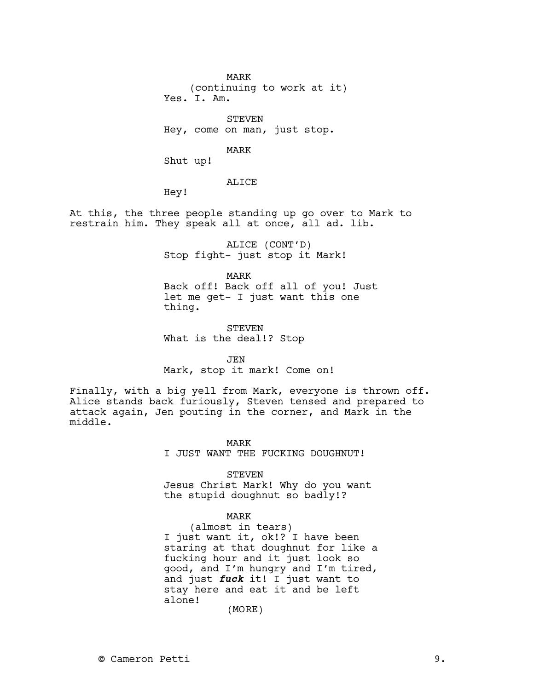MARK (continuing to work at it) Yes. I. Am.

STEVEN Hey, come on man, just stop.

MARK

Shut up!

ALICE

Hey!

At this, the three people standing up go over to Mark to restrain him. They speak all at once, all ad. lib.

> ALICE (CONT'D) Stop fight- just stop it Mark!

> > MARK

Back off! Back off all of you! Just let me get- I just want this one thing.

STEVEN What is the deal!? Stop

JEN Mark, stop it mark! Come on!

Finally, with a big yell from Mark, everyone is thrown off. Alice stands back furiously, Steven tensed and prepared to attack again, Jen pouting in the corner, and Mark in the middle.

MARK

I JUST WANT THE FUCKING DOUGHNUT!

STEVEN

Jesus Christ Mark! Why do you want the stupid doughnut so badly!?

#### MARK

(almost in tears) I just want it, ok!? I have been staring at that doughnut for like a fucking hour and it just look so good, and I'm hungry and I'm tired, and just **fuck** it! I just want to stay here and eat it and be left alone!

(MORE)